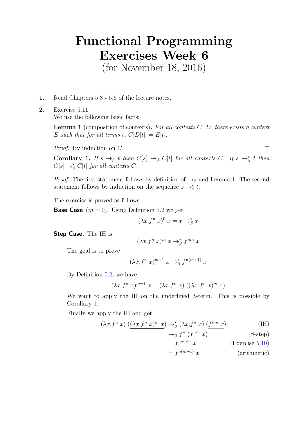## Functional Programming Exercises Week 6

(for November 18, 2016)

1. Read Chapters 5.3 - 5.6 of the lecture notes.

2. Exercise 5.11 We use the following basic facts:

> <span id="page-0-0"></span>**Lemma 1** (composition of contexts). For all contexts  $C$ ,  $D$ , there exists a context E such that for all terms t,  $C[D[t]] = E[t]$ .

Proof. By induction on C.

 $\Box$ 

<span id="page-0-1"></span>Corollary 1. If  $s \to_{\beta} t$  then  $C[s] \to_{\beta} C[t]$  for all contexts C. If  $s \to_{\beta}^* t$  then  $C[s] \rightarrow_{\beta}^{\ast} C[t]$  for all contexts C.

*Proof.* The first statement follows by definition of  $\rightarrow$ <sub>β</sub> and Lemma [1.](#page-0-0) The second statement follows by induction on the sequence  $s \rightarrow_{\beta}^* t$ .  $\Box$ 

The exercise is proved as follows:

**Base Case**  $(m = 0)$ . Using Definition 5.2 we get

$$
(\lambda x.f^n\ x)^0\ x = x \to_{\beta}^* x
$$

Step Case. The IH is

$$
(\lambda x.f^n x)^m x \to_{\beta}^* f^{nm} x
$$

The goal is to prove

$$
(\lambda x.f^n x)^{m+1} x \rightarrow_{\beta}^* f^{n(m+1)} x
$$

By Definition 5.2, we have

$$
(\lambda x.f^n x)^{m+1} x = (\lambda x.f^n x) ((\lambda x.f^n x)^m x)
$$

We want to apply the IH on the underlined  $\lambda$ -term. This is possible by Corollary [1.](#page-0-1)

Finally we apply the IH and get

$$
(\lambda x.f^n \ x) \ ((\lambda x.f^n \ x)^m \ x) \rightarrow_{\beta}^* (\lambda x.f^n \ x) \ (f^{nm} \ x)
$$
 (IH)

 $\rightarrow_{\beta}$   $f^{n}$   $(f$ 

 $(\beta\text{-step})$ 

$$
= f^{n+nm} x \qquad \qquad \text{(Exercise 5.10)}
$$

 $=f^{n(m+1)}x$  (arithmetic)